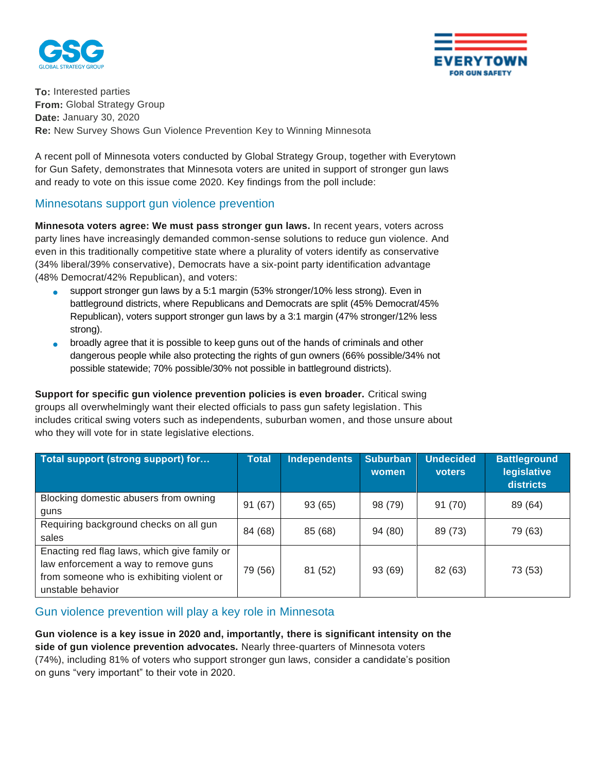



**To:** Interested parties **From:** Global Strategy Group **Date:** January 30, 2020 **Re:** New Survey Shows Gun Violence Prevention Key to Winning Minnesota

A recent poll of Minnesota voters conducted by Global Strategy Group, together with Everytown for Gun Safety, demonstrates that Minnesota voters are united in support of stronger gun laws and ready to vote on this issue come 2020. Key findings from the poll include:

## Minnesotans support gun violence prevention

**Minnesota voters agree: We must pass stronger gun laws.** In recent years, voters across party lines have increasingly demanded common-sense solutions to reduce gun violence. And even in this traditionally competitive state where a plurality of voters identify as conservative (34% liberal/39% conservative), Democrats have a six-point party identification advantage (48% Democrat/42% Republican), and voters:

- support stronger gun laws by a 5:1 margin (53% stronger/10% less strong). Even in battleground districts, where Republicans and Democrats are split (45% Democrat/45% Republican), voters support stronger gun laws by a 3:1 margin (47% stronger/12% less strong).
- broadly agree that it is possible to keep guns out of the hands of criminals and other dangerous people while also protecting the rights of gun owners (66% possible/34% not possible statewide; 70% possible/30% not possible in battleground districts).

**Support for specific gun violence prevention policies is even broader.** Critical swing groups all overwhelmingly want their elected officials to pass gun safety legislation. This includes critical swing voters such as independents, suburban women, and those unsure about who they will vote for in state legislative elections.

| Total support (strong support) for                                                                                                                     | <b>Total</b> | Independents | <b>Suburban</b><br>women | <b>Undecided</b><br>voters | <b>Battleground</b><br>legislative<br>districts |
|--------------------------------------------------------------------------------------------------------------------------------------------------------|--------------|--------------|--------------------------|----------------------------|-------------------------------------------------|
| Blocking domestic abusers from owning<br>guns                                                                                                          | 91(67)       | 93 (65)      | 98 (79)                  | 91 (70)                    | 89 (64)                                         |
| Requiring background checks on all gun<br>sales                                                                                                        | 84 (68)      | 85 (68)      | 94 (80)                  | 89 (73)                    | 79 (63)                                         |
| Enacting red flag laws, which give family or<br>law enforcement a way to remove guns<br>from someone who is exhibiting violent or<br>unstable behavior | 79 (56)      | 81 (52)      | 93 (69)                  | 82 (63)                    | 73 (53)                                         |

## Gun violence prevention will play a key role in Minnesota

**Gun violence is a key issue in 2020 and, importantly, there is significant intensity on the side of gun violence prevention advocates.** Nearly three-quarters of Minnesota voters (74%), including 81% of voters who support stronger gun laws, consider a candidate's position on guns "very important" to their vote in 2020.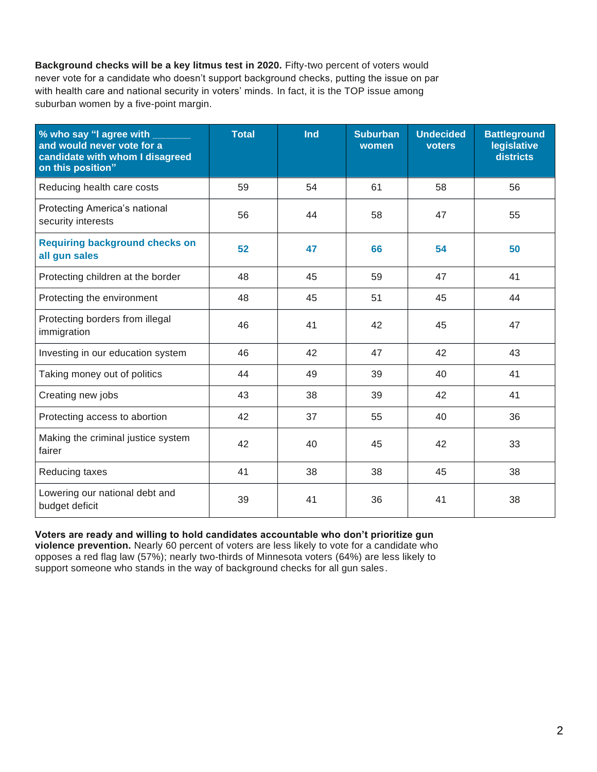**Background checks will be a key litmus test in 2020.** Fifty-two percent of voters would never vote for a candidate who doesn't support background checks, putting the issue on par with health care and national security in voters' minds. In fact, it is the TOP issue among suburban women by a five-point margin.

| % who say "I agree with ___<br>and would never vote for a<br>candidate with whom I disagreed<br>on this position" | <b>Total</b> | Ind | <b>Suburban</b><br>women | <b>Undecided</b><br><b>voters</b> | <b>Battleground</b><br>legislative<br>districts |  |
|-------------------------------------------------------------------------------------------------------------------|--------------|-----|--------------------------|-----------------------------------|-------------------------------------------------|--|
| Reducing health care costs                                                                                        | 59           | 54  | 61                       | 58                                | 56                                              |  |
| Protecting America's national<br>security interests                                                               | 56           | 44  | 58                       | 47                                | 55                                              |  |
| <b>Requiring background checks on</b><br>all gun sales                                                            | 52           | 47  | 66                       | 54                                | 50                                              |  |
| Protecting children at the border                                                                                 | 48           | 45  | 59                       | 47                                | 41                                              |  |
| Protecting the environment                                                                                        | 48           | 45  | 51                       | 45                                | 44                                              |  |
| Protecting borders from illegal<br>immigration                                                                    | 46           | 41  | 42                       | 45                                | 47                                              |  |
| Investing in our education system                                                                                 | 46           | 42  | 47                       | 42                                | 43                                              |  |
| Taking money out of politics                                                                                      | 44           | 49  | 39                       | 40                                | 41                                              |  |
| Creating new jobs                                                                                                 | 43           | 38  | 39                       | 42                                | 41                                              |  |
| Protecting access to abortion                                                                                     | 42           | 37  | 55                       | 40                                | 36                                              |  |
| Making the criminal justice system<br>fairer                                                                      | 42           | 40  | 45                       | 42                                | 33                                              |  |
| Reducing taxes                                                                                                    | 41           | 38  | 38                       | 45                                | 38                                              |  |
| Lowering our national debt and<br>budget deficit                                                                  | 39           | 41  | 36                       | 41                                | 38                                              |  |

**Voters are ready and willing to hold candidates accountable who don't prioritize gun** 

**violence prevention.** Nearly 60 percent of voters are less likely to vote for a candidate who opposes a red flag law (57%); nearly two-thirds of Minnesota voters (64%) are less likely to support someone who stands in the way of background checks for all gun sales.